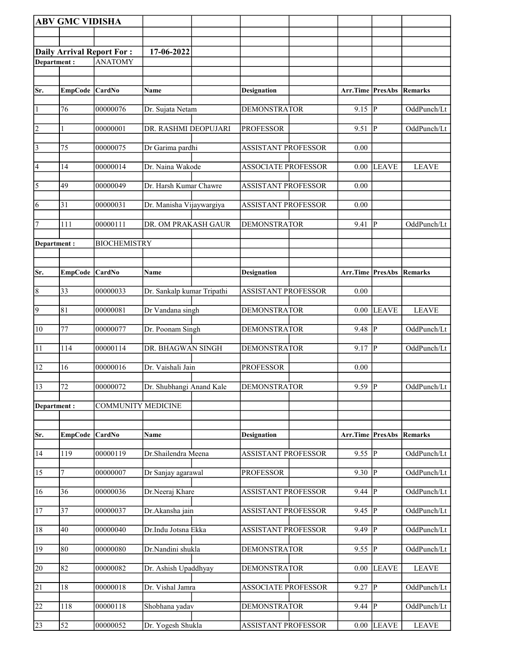|                 | <b>ABV GMC VIDISHA</b> |                                  |                            |                            |          |                        |              |
|-----------------|------------------------|----------------------------------|----------------------------|----------------------------|----------|------------------------|--------------|
|                 |                        |                                  |                            |                            |          |                        |              |
|                 |                        | <b>Daily Arrival Report For:</b> | 17-06-2022                 |                            |          |                        |              |
| Department:     |                        | <b>ANATOMY</b>                   |                            |                            |          |                        |              |
|                 |                        |                                  |                            |                            |          |                        |              |
| Sr.             | EmpCode CardNo         |                                  | Name                       | <b>Designation</b>         | Arr.Time | PresAbs                | Remarks      |
|                 |                        |                                  |                            |                            |          |                        |              |
| $\vert$ 1       | 76                     | 00000076                         | Dr. Sujata Netam           | <b>DEMONSTRATOR</b>        | 9.15     | IР                     | OddPunch/Lt  |
| $\overline{2}$  |                        | 00000001                         | DR. RASHMI DEOPUJARI       | <b>PROFESSOR</b>           | 9.51     | P                      | OddPunch/Lt  |
| $\vert$ 3       | 75                     | 00000075                         | Dr Garima pardhi           | <b>ASSISTANT PROFESSOR</b> | 0.00     |                        |              |
| $\vert 4 \vert$ | 14                     | 00000014                         | Dr. Naina Wakode           | <b>ASSOCIATE PROFESSOR</b> | 0.00     | <b>LEAVE</b>           | <b>LEAVE</b> |
| $\overline{5}$  | 49                     | 00000049                         | Dr. Harsh Kumar Chawre     | <b>ASSISTANT PROFESSOR</b> | 0.00     |                        |              |
| 6               | 31                     | 00000031                         | Dr. Manisha Vijaywargiya   | <b>ASSISTANT PROFESSOR</b> | 0.00     |                        |              |
| 7               | 111                    | 00000111                         | DR. OM PRAKASH GAUR        | <b>DEMONSTRATOR</b>        | 9.41     | P                      | OddPunch/Lt  |
| Department:     |                        | <b>BIOCHEMISTRY</b>              |                            |                            |          |                        |              |
|                 |                        |                                  |                            |                            |          |                        |              |
| Sr.             | <b>EmpCode</b>         | <b>CardNo</b>                    | <b>Name</b>                | <b>Designation</b>         | Arr.Time | <b>PresAbs</b>         | Remarks      |
| $\vert 8$       | 33                     | 00000033                         | Dr. Sankalp kumar Tripathi | <b>ASSISTANT PROFESSOR</b> | 0.00     |                        |              |
| $\overline{9}$  | 81                     | 00000081                         | Dr Vandana singh           | <b>DEMONSTRATOR</b>        | 0.00     | <b>LEAVE</b>           | <b>LEAVE</b> |
| $ 10\rangle$    | 77                     | 00000077                         | Dr. Poonam Singh           | <b>DEMONSTRATOR</b>        | 9.48     | P                      | OddPunch/Lt  |
| 11              | 114                    | 00000114                         | DR. BHAGWAN SINGH          | <b>DEMONSTRATOR</b>        | 9.17     | P                      | OddPunch/Lt  |
| 12              | 16                     | 00000016                         | Dr. Vaishali Jain          | <b>PROFESSOR</b>           | 0.00     |                        |              |
| 13              | 72                     | 00000072                         | Dr. Shubhangi Anand Kale   | <b>DEMONSTRATOR</b>        | 9.59     | $\overline{P}$         | OddPunch/Lt  |
| Department:     |                        | <b>COMMUNITY MEDICINE</b>        |                            |                            |          |                        |              |
|                 |                        |                                  |                            |                            |          |                        |              |
| Sr.             | <b>EmpCode</b>         | CardNo                           | <b>Name</b>                | <b>Designation</b>         | Arr.Time | <b>PresAbs Remarks</b> |              |
| 14              | 119                    | 00000119                         | Dr.Shailendra Meena        | <b>ASSISTANT PROFESSOR</b> | 9.55     | P                      | OddPunch/Lt  |
| 15              | $\overline{7}$         | 00000007                         | Dr Sanjay agarawal         | <b>PROFESSOR</b>           | 9.30     | ${\bf P}$              | OddPunch/Lt  |
| 16              | 36                     | 00000036                         | Dr.Neeraj Khare            | <b>ASSISTANT PROFESSOR</b> | 9.44     | $\mathbf{P}$           | OddPunch/Lt  |
| 17              | 37                     | 00000037                         | Dr.Akansha jain            | <b>ASSISTANT PROFESSOR</b> | 9.45     | IР                     | OddPunch/Lt  |
| 18              | 40                     | 00000040                         | Dr.Indu Jotsna Ekka        | <b>ASSISTANT PROFESSOR</b> | 9.49     | P                      | OddPunch/Lt  |
| 19              | 80                     | 00000080                         | Dr.Nandini shukla          | <b>DEMONSTRATOR</b>        | 9.55     | P                      | OddPunch/Lt  |
| 20              | 82                     | 00000082                         | Dr. Ashish Upaddhyay       | <b>DEMONSTRATOR</b>        | 0.00     | <b>LEAVE</b>           | <b>LEAVE</b> |
| 21              | 18                     | 00000018                         | Dr. Vishal Jamra           | <b>ASSOCIATE PROFESSOR</b> | 9.27     | $\overline{P}$         | OddPunch/Lt  |
| 22              | 118                    | 00000118                         | Shobhana yadav             | <b>DEMONSTRATOR</b>        | 9.44     | $\mathbf{P}$           | OddPunch/Lt  |
| 23              | 52                     | 00000052                         | Dr. Yogesh Shukla          | <b>ASSISTANT PROFESSOR</b> | $0.00\,$ | <b>LEAVE</b>           | <b>LEAVE</b> |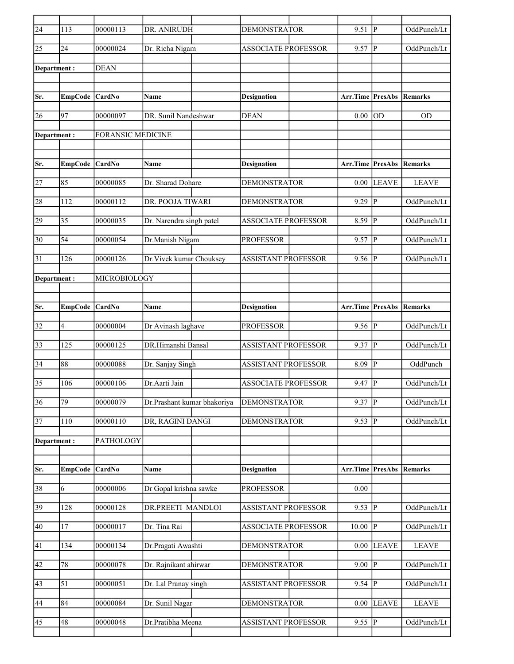| $\overline{24}$ | 113             | 00000113                 | DR. ANIRUDH                 | <b>DEMONSTRATOR</b>        | 9.51                            | IР             | OddPunch/Lt    |
|-----------------|-----------------|--------------------------|-----------------------------|----------------------------|---------------------------------|----------------|----------------|
| 25              | 24              | 00000024                 | Dr. Richa Nigam             | <b>ASSOCIATE PROFESSOR</b> | 9.57                            | P              | OddPunch/Lt    |
| Department:     |                 | <b>DEAN</b>              |                             |                            |                                 |                |                |
|                 |                 |                          |                             |                            |                                 |                |                |
| Sr.             | EmpCode CardNo  |                          | Name                        | <b>Designation</b>         | <b>Arr.Time PresAbs Remarks</b> |                |                |
| 26              | 97              | 00000097                 | DR. Sunil Nandeshwar        | <b>DEAN</b>                | 0.00                            | OD             | <b>OD</b>      |
| Department:     |                 | <b>FORANSIC MEDICINE</b> |                             |                            |                                 |                |                |
|                 |                 |                          |                             |                            |                                 |                |                |
| Sr.             | EmpCode CardNo  |                          | Name                        | <b>Designation</b>         | Arr.Time                        | <b>PresAbs</b> | <b>Remarks</b> |
|                 |                 |                          |                             |                            |                                 |                |                |
| 27              | 85              | 00000085                 | Dr. Sharad Dohare           | <b>DEMONSTRATOR</b>        | 0.00                            | <b>LEAVE</b>   | <b>LEAVE</b>   |
| 28              | 112             | 00000112                 | DR. POOJA TIWARI            | <b>DEMONSTRATOR</b>        | 9.29                            | P              | OddPunch/Lt    |
| 29              | 35              | 00000035                 | Dr. Narendra singh patel    | <b>ASSOCIATE PROFESSOR</b> | 8.59                            | P              | OddPunch/Lt    |
| 30              | 54              | 00000054                 | Dr.Manish Nigam             | <b>PROFESSOR</b>           | 9.57                            | P              | OddPunch/Lt    |
| 31              | 126             | 00000126                 | Dr. Vivek kumar Chouksey    | <b>ASSISTANT PROFESSOR</b> | 9.56                            | P              | OddPunch/Lt    |
| Department :    |                 | MICROBIOLOGY             |                             |                            |                                 |                |                |
|                 |                 |                          |                             |                            |                                 |                |                |
| Sr.             | EmpCode CardNo  |                          | Name                        | <b>Designation</b>         | Arr.Time                        | PresAbs        | Remarks        |
|                 |                 |                          |                             |                            |                                 |                |                |
| 32              | 4               | 00000004                 | Dr Avinash laghave          | <b>PROFESSOR</b>           | 9.56                            | P              | OddPunch/Lt    |
| 33              | 125             | 00000125                 | DR.Himanshi Bansal          | <b>ASSISTANT PROFESSOR</b> | 9.37                            | P              | OddPunch/Lt    |
| 34              | 88              | 00000088                 | Dr. Sanjay Singh            | <b>ASSISTANT PROFESSOR</b> | 8.09                            | ${\bf P}$      | OddPunch       |
| 35              | 106             | 00000106                 | Dr.Aarti Jain               | <b>ASSOCIATE PROFESSOR</b> | 9.47                            | P              | OddPunch/Lt    |
| 36              | $\overline{79}$ | 00000079                 | Dr.Prashant kumar bhakoriya | <b>DEMONSTRATOR</b>        | 9.37                            | $\overline{P}$ | OddPunch/Lt    |
| 37              | $110\,$         | 00000110                 | DR, RAGINI DANGI            | <b>DEMONSTRATOR</b>        | $9.53$ P                        |                | OddPunch/Lt    |
| Department:     |                 | PATHOLOGY                |                             |                            |                                 |                |                |
|                 |                 |                          |                             |                            |                                 |                |                |
| Sr.             | <b>EmpCode</b>  | CardNo                   | Name                        | <b>Designation</b>         | Arr.Time                        | <b>PresAbs</b> | Remarks        |
| 38              | 6               | 00000006                 | Dr Gopal krishna sawke      | <b>PROFESSOR</b>           | 0.00                            |                |                |
| 39              | 128             | 00000128                 | DR.PREETI MANDLOI           | <b>ASSISTANT PROFESSOR</b> | 9.53                            | $ {\bf P} $    | OddPunch/Lt    |
| 40              | 17              | 00000017                 | Dr. Tina Rai                | <b>ASSOCIATE PROFESSOR</b> | 10.00                           | P              | OddPunch/Lt    |
| 41              | 134             | 00000134                 | Dr.Pragati Awashti          | <b>DEMONSTRATOR</b>        | 0.00                            | <b>LEAVE</b>   | <b>LEAVE</b>   |
| 42              | $78\,$          | 00000078                 | Dr. Rajnikant ahirwar       | <b>DEMONSTRATOR</b>        | 9.00                            | $\mathbf{P}$   | OddPunch/Lt    |
| 43              | 51              | 00000051                 | Dr. Lal Pranay singh        | ASSISTANT PROFESSOR        | 9.54                            | P              | OddPunch/Lt    |
|                 |                 |                          |                             |                            |                                 |                |                |
| 44              | 84              | 00000084                 | Dr. Sunil Nagar             | <b>DEMONSTRATOR</b>        | 0.00                            | <b>LEAVE</b>   | <b>LEAVE</b>   |
| 45              | 48              | 00000048                 | Dr.Pratibha Meena           | ASSISTANT PROFESSOR        | 9.55                            | P              | OddPunch/Lt    |
|                 |                 |                          |                             |                            |                                 |                |                |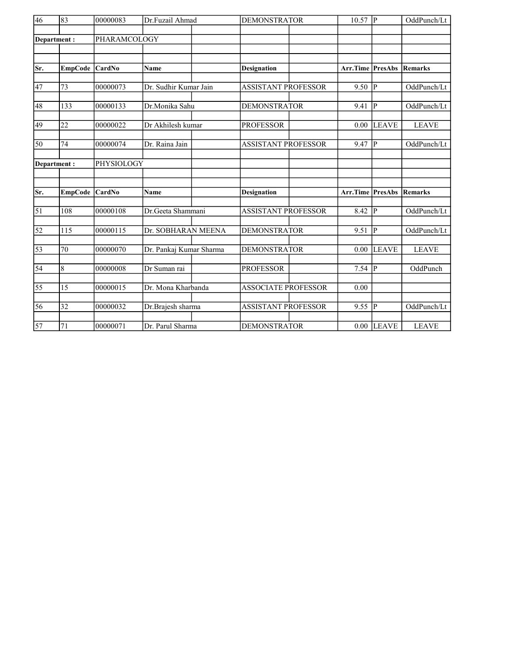| $\overline{46}$ | 83              | 00000083     | Dr.Fuzail Ahmad         | <b>DEMONSTRATOR</b>        |          | P              | OddPunch/Lt    |
|-----------------|-----------------|--------------|-------------------------|----------------------------|----------|----------------|----------------|
|                 | Department:     | PHARAMCOLOGY |                         |                            |          |                |                |
|                 |                 |              |                         |                            |          |                |                |
|                 |                 |              |                         |                            |          |                |                |
| Sr.             | <b>EmpCode</b>  | CardNo       | <b>Name</b>             | <b>Designation</b>         | Arr.Time | <b>PresAbs</b> | Remarks        |
|                 |                 |              |                         |                            |          |                |                |
| 47              | 73              | 00000073     | Dr. Sudhir Kumar Jain   | <b>ASSISTANT PROFESSOR</b> | 9.50     | lр             | OddPunch/Lt    |
| 48              | 133             | 00000133     | Dr.Monika Sahu          | <b>DEMONSTRATOR</b>        | 9.41     | IР             | OddPunch/Lt    |
|                 |                 |              |                         |                            |          |                |                |
| 49              | 22              | 00000022     | Dr Akhilesh kumar       | <b>PROFESSOR</b>           | 0.00     | <b>LEAVE</b>   | <b>LEAVE</b>   |
|                 |                 |              |                         |                            |          |                |                |
| 50              | 74              | 00000074     | Dr. Raina Jain          | ASSISTANT PROFESSOR        | 9.47     | lр             | OddPunch/Lt    |
| Department:     |                 | PHYSIOLOGY   |                         |                            |          |                |                |
|                 |                 |              |                         |                            |          |                |                |
|                 |                 |              |                         |                            |          |                |                |
| Sr.             | <b>EmpCode</b>  | CardNo       | <b>Name</b>             | <b>Designation</b>         | Arr.Time | <b>PresAbs</b> | <b>Remarks</b> |
| $\overline{51}$ | 108             | 00000108     | Dr.Geeta Shammani       | <b>ASSISTANT PROFESSOR</b> | 8.42     | p              | OddPunch/Lt    |
|                 |                 |              |                         |                            |          |                |                |
| 52              | 115             | 00000115     | Dr. SOBHARAN MEENA      | <b>DEMONSTRATOR</b>        | 9.51     | lр             | OddPunch/Lt    |
|                 |                 |              |                         |                            |          |                |                |
| $\overline{53}$ | 70              | 00000070     | Dr. Pankaj Kumar Sharma | <b>DEMONSTRATOR</b>        | 0.00     | <b>LEAVE</b>   | <b>LEAVE</b>   |
| $\overline{54}$ | 8               | 00000008     | Dr Suman rai            | <b>PROFESSOR</b>           | 7.54     | $ {\bf p} $    | OddPunch       |
|                 |                 |              |                         |                            |          |                |                |
| $\overline{55}$ | 15              | 00000015     | Dr. Mona Kharbanda      | <b>ASSOCIATE PROFESSOR</b> | 0.00     |                |                |
|                 |                 |              |                         |                            |          |                |                |
| $\overline{56}$ | $\overline{32}$ | 00000032     | Dr.Brajesh sharma       | <b>ASSISTANT PROFESSOR</b> | 9.55     | $\overline{P}$ | OddPunch/Lt    |
|                 |                 |              |                         |                            |          |                |                |
| $\overline{57}$ | 71              | 00000071     | Dr. Parul Sharma        | <b>DEMONSTRATOR</b>        |          | $0.00$ LEAVE   | <b>LEAVE</b>   |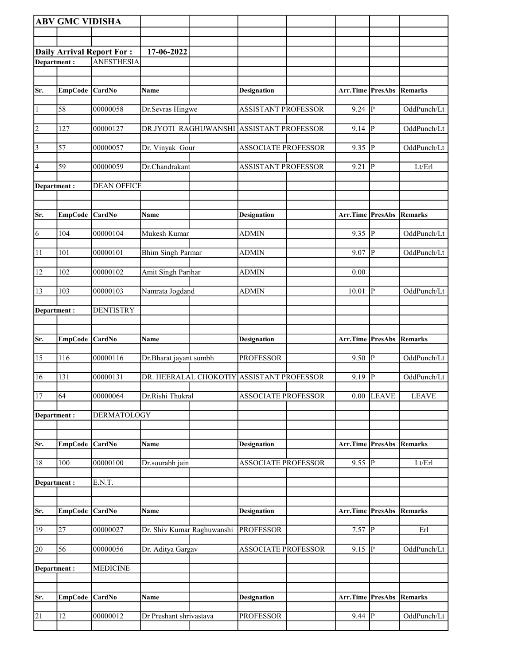|                | <b>ABV GMC VIDISHA</b> |                                  |                            |                                           |                                 |                         |                |
|----------------|------------------------|----------------------------------|----------------------------|-------------------------------------------|---------------------------------|-------------------------|----------------|
|                |                        |                                  |                            |                                           |                                 |                         |                |
|                |                        | <b>Daily Arrival Report For:</b> | 17-06-2022                 |                                           |                                 |                         |                |
| Department:    |                        | <b>ANESTHESIA</b>                |                            |                                           |                                 |                         |                |
|                |                        |                                  |                            |                                           |                                 |                         |                |
| Sr.            | <b>EmpCode</b>         | <b>CardNo</b>                    | Name                       | <b>Designation</b>                        | Arr.Time PresAbs                |                         | Remarks        |
| $\vert$ 1      | 58                     | 00000058                         | Dr.Sevras Hingwe           | <b>ASSISTANT PROFESSOR</b>                | $9.24$ P                        |                         | OddPunch/Lt    |
| $\overline{2}$ | 127                    | 00000127                         |                            | DR.JYOTI RAGHUWANSHI ASSISTANT PROFESSOR  | $9.14$  P                       |                         | OddPunch/Lt    |
| $\vert$ 3      | 57                     | 00000057                         | Dr. Vinyak Gour            | <b>ASSOCIATE PROFESSOR</b>                | 9.35                            | P                       | OddPunch/Lt    |
| 4              | 59                     | 00000059                         | Dr.Chandrakant             | <b>ASSISTANT PROFESSOR</b>                | 9.21                            | $\vert P \vert$         | Lt/Erl         |
| Department :   |                        | <b>DEAN OFFICE</b>               |                            |                                           |                                 |                         |                |
| Sr.            | <b>EmpCode</b>         | CardNo                           | Name                       | <b>Designation</b>                        | <b>Arr.Time PresAbs Remarks</b> |                         |                |
| $\overline{6}$ | 104                    | 00000104                         | Mukesh Kumar               | <b>ADMIN</b>                              | $9.35$ P                        |                         | OddPunch/Lt    |
| 11             | 101                    | 00000101                         | <b>Bhim Singh Parmar</b>   | <b>ADMIN</b>                              | $9.07$ P                        |                         | OddPunch/Lt    |
|                |                        |                                  |                            |                                           |                                 |                         |                |
| 12             | 102                    | 00000102                         | Amit Singh Parihar         | ADMIN                                     | 0.00                            |                         |                |
| 13             | 103                    | 00000103                         | Namrata Jogdand            | <b>ADMIN</b>                              | 10.01                           | ∣P                      | OddPunch/Lt    |
| Department :   |                        | <b>DENTISTRY</b>                 |                            |                                           |                                 |                         |                |
|                |                        |                                  |                            |                                           |                                 |                         |                |
|                |                        |                                  |                            |                                           |                                 |                         |                |
| Sr.            | <b>EmpCode</b>         | CardNo                           | Name                       | <b>Designation</b>                        | Arr.Time PresAbs                |                         | Remarks        |
| 15             | 116                    | 00000116                         | Dr.Bharat jayant sumbh     | <b>PROFESSOR</b>                          | 9.50                            | P                       | OddPunch/Lt    |
| 16             | 131                    | 00000131                         |                            | DR. HEERALAL CHOKOTIY ASSISTANT PROFESSOR | 9.19                            | $\overline{\mathbb{P}}$ | OddPunch/Lt    |
| 17             | 64                     | 00000064                         | Dr.Rishi Thukral           | <b>ASSOCIATE PROFESSOR</b>                |                                 | $0.00$ LEAVE            | <b>LEAVE</b>   |
| Department:    |                        | <b>DERMATOLOGY</b>               |                            |                                           |                                 |                         |                |
| Sr.            | <b>EmpCode</b>         | CardNo                           | Name                       | <b>Designation</b>                        | <b>Arr.Time PresAbs</b>         |                         | <b>Remarks</b> |
| 18             | 100                    | 00000100                         | Dr.sourabh jain            | <b>ASSOCIATE PROFESSOR</b>                | $9.55$ $\overline{P}$           |                         | Lt/Erl         |
| Department:    |                        | E.N.T.                           |                            |                                           |                                 |                         |                |
|                |                        |                                  |                            |                                           |                                 |                         |                |
| Sr.            | <b>EmpCode</b>         | <b>CardNo</b>                    | Name                       | <b>Designation</b>                        | Arr.Time PresAbs                |                         | Remarks        |
| 19             | 27                     | 00000027                         | Dr. Shiv Kumar Raghuwanshi | <b>PROFESSOR</b>                          | $7.57$ P                        |                         | Erl            |
| 20             | 56                     | 00000056                         | Dr. Aditya Gargav          | ASSOCIATE PROFESSOR                       | 9.15                            | P                       | OddPunch/Lt    |
| Department:    |                        | <b>MEDICINE</b>                  |                            |                                           |                                 |                         |                |
|                |                        |                                  |                            |                                           |                                 |                         |                |
| Sr.            | <b>EmpCode</b>         | CardNo                           | Name                       | <b>Designation</b>                        | Arr.Time                        | PresAbs                 | <b>Remarks</b> |
| 21             | 12                     | 00000012                         | Dr Preshant shrivastava    | <b>PROFESSOR</b>                          | 9.44 $\overline{P}$             |                         | OddPunch/Lt    |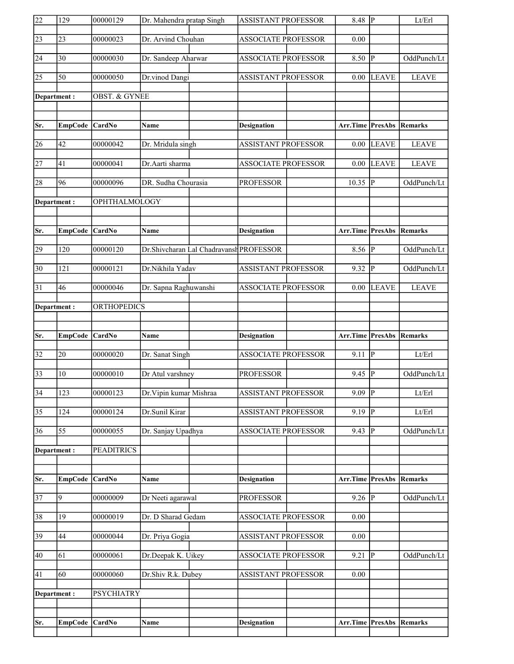| 22              | 129            | 00000129                 | Dr. Mahendra pratap Singh |                                         | <b>ASSISTANT PROFESSOR</b> | 8.48 $\sqrt{P}$                 |                | Lt/Erl         |
|-----------------|----------------|--------------------------|---------------------------|-----------------------------------------|----------------------------|---------------------------------|----------------|----------------|
| $\sqrt{23}$     | 23             | 00000023                 | Dr. Arvind Chouhan        |                                         | <b>ASSOCIATE PROFESSOR</b> | 0.00                            |                |                |
| 24              | 30             | 00000030                 | Dr. Sandeep Aharwar       |                                         | <b>ASSOCIATE PROFESSOR</b> | 8.50                            | P              | OddPunch/Lt    |
| $\overline{25}$ | 50             | 00000050                 | Dr.vinod Dangi            |                                         | <b>ASSISTANT PROFESSOR</b> | $0.00\,$                        | LEAVE          | <b>LEAVE</b>   |
| Department:     |                | <b>OBST. &amp; GYNEE</b> |                           |                                         |                            |                                 |                |                |
|                 |                |                          |                           |                                         |                            |                                 |                |                |
| Sr.             | <b>EmpCode</b> | <b>CardNo</b>            | <b>Name</b>               |                                         | <b>Designation</b>         | <b>Arr.Time PresAbs Remarks</b> |                |                |
| 26              | 42             | 00000042                 | Dr. Mridula singh         |                                         | <b>ASSISTANT PROFESSOR</b> | $0.00\,$                        | <b>LEAVE</b>   | <b>LEAVE</b>   |
| $\overline{27}$ | 41             | 00000041                 | Dr.Aarti sharma           |                                         | <b>ASSOCIATE PROFESSOR</b> | 0.00                            | <b>LEAVE</b>   | <b>LEAVE</b>   |
| 28              | 96             | 00000096                 | DR. Sudha Chourasia       |                                         | <b>PROFESSOR</b>           | $10.35 \overline{P}$            |                | OddPunch/Lt    |
| Department:     |                | OPHTHALMOLOGY            |                           |                                         |                            |                                 |                |                |
|                 |                |                          |                           |                                         |                            |                                 |                |                |
| Sr.             | <b>EmpCode</b> | <b>CardNo</b>            | Name                      |                                         | <b>Designation</b>         | <b>Arr.Time PresAbs Remarks</b> |                |                |
| 29              | 120            | 00000120                 |                           | Dr.Shivcharan Lal Chadravansh PROFESSOR |                            | 8.56                            | P              | OddPunch/Lt    |
| $\overline{30}$ | 121            | 00000121                 | Dr.Nikhila Yadav          |                                         | <b>ASSISTANT PROFESSOR</b> | $9.32$ P                        |                | OddPunch/Lt    |
| 31              | 46             | 00000046                 | Dr. Sapna Raghuwanshi     |                                         | <b>ASSOCIATE PROFESSOR</b> | 0.00                            | <b>LEAVE</b>   | <b>LEAVE</b>   |
| Department:     |                | <b>ORTHOPEDICS</b>       |                           |                                         |                            |                                 |                |                |
|                 |                |                          |                           |                                         |                            |                                 |                |                |
|                 |                |                          |                           |                                         |                            |                                 |                |                |
| Sr.             | <b>EmpCode</b> | CardNo                   | Name                      |                                         | <b>Designation</b>         | Arr.Time PresAbs                |                | Remarks        |
| $\overline{32}$ | 20             | 00000020                 | Dr. Sanat Singh           |                                         | <b>ASSOCIATE PROFESSOR</b> | 9.11                            | P              | Lt/Erl         |
| $\overline{33}$ | 10             | 00000010                 | Dr Atul varshney          |                                         | <b>PROFESSOR</b>           | 9.45                            | IР             | OddPunch/Lt    |
| $\overline{34}$ | 123            | 00000123                 | Dr. Vipin kumar Mishraa   |                                         | ASSISTANT PROFESSOR        | $9.09$ P                        |                | Lt/Erl         |
| $\overline{35}$ | 124            | 00000124                 | Dr.Sunil Kirar            |                                         | <b>ASSISTANT PROFESSOR</b> | 9.19                            | $\overline{P}$ | Lt/Erl         |
| 36              | 55             | 00000055                 | Dr. Sanjay Upadhya        |                                         | <b>ASSOCIATE PROFESSOR</b> | 9.43                            | <sup> p</sup>  | OddPunch/Lt    |
| Department:     |                | <b>PEADITRICS</b>        |                           |                                         |                            |                                 |                |                |
|                 |                |                          |                           |                                         |                            |                                 |                |                |
| Sr.             | <b>EmpCode</b> | CardNo                   | <b>Name</b>               |                                         | <b>Designation</b>         | <b>Arr.Time PresAbs</b>         |                | <b>Remarks</b> |
| $\overline{37}$ | 9              | 00000009                 | Dr Neeti agarawal         |                                         | <b>PROFESSOR</b>           | $9.26$ P                        |                | OddPunch/Lt    |
| 38              | 19             | 00000019                 | Dr. D Sharad Gedam        |                                         | <b>ASSOCIATE PROFESSOR</b> | 0.00                            |                |                |
| 39              | 44             | 00000044                 | Dr. Priya Gogia           |                                         | ASSISTANT PROFESSOR        | 0.00                            |                |                |
| 40              | 61             | 00000061                 | Dr.Deepak K. Uikey        |                                         | <b>ASSOCIATE PROFESSOR</b> | 9.21                            | <sup> </sup> P | OddPunch/Lt    |
| 41              | 60             | 00000060                 | Dr.Shiv R.k. Dubey        |                                         | <b>ASSISTANT PROFESSOR</b> | 0.00                            |                |                |
| Department :    |                | <b>PSYCHIATRY</b>        |                           |                                         |                            |                                 |                |                |
|                 |                |                          |                           |                                         |                            |                                 |                |                |
| Sr.             | <b>EmpCode</b> | CardNo                   | Name                      |                                         | <b>Designation</b>         | <b>Arr.Time PresAbs</b>         |                | Remarks        |